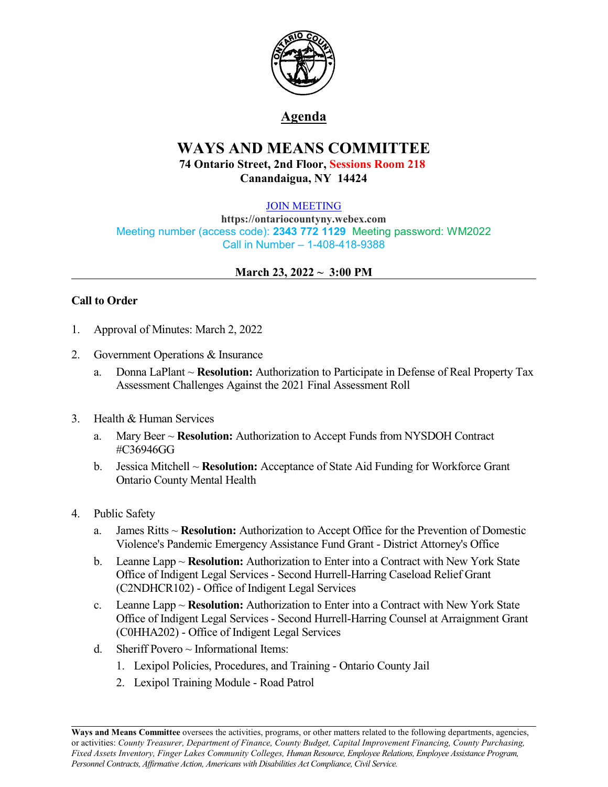

# **Agenda**

# **WAYS AND MEANS COMMITTEE 74 Ontario Street, 2nd Floor, Sessions Room 218 Canandaigua, NY 14424**

#### [JOIN MEETING](https://ontariocountyny.webex.com/)

**https://ontariocountyny.webex.com** Meeting number (access code): **2343 772 1129** Meeting password: WM2022 Call in Number – 1-408-418-9388

## **March 23, 2022 ~ 3:00 PM**

## **Call to Order**

- 1. Approval of Minutes: March 2, 2022
- 2. Government Operations & Insurance
	- a. Donna LaPlant ~ **Resolution:** Authorization to Participate in Defense of Real Property Tax Assessment Challenges Against the 2021 Final Assessment Roll
- 3. Health & Human Services
	- a. Mary Beer ~ **Resolution:** Authorization to Accept Funds from NYSDOH Contract #C36946GG
	- b. Jessica Mitchell ~ **Resolution:** Acceptance of State Aid Funding for Workforce Grant Ontario County Mental Health
- 4. Public Safety
	- a. James Ritts ~ **Resolution:** Authorization to Accept Office for the Prevention of Domestic Violence's Pandemic Emergency Assistance Fund Grant - District Attorney's Office
	- b. Leanne Lapp ~ **Resolution:** Authorization to Enter into a Contract with New York State Office of Indigent Legal Services - Second Hurrell-Harring Caseload Relief Grant (C2NDHCR102) - Office of Indigent Legal Services
	- c. Leanne Lapp ~ **Resolution:** Authorization to Enter into a Contract with New York State Office of Indigent Legal Services - Second Hurrell-Harring Counsel at Arraignment Grant (C0HHA202) - Office of Indigent Legal Services
	- d. Sheriff Povero  $\sim$  Informational Items:
		- 1. Lexipol Policies, Procedures, and Training Ontario County Jail
		- 2. Lexipol Training Module Road Patrol

**Ways and Means Committee** oversees the activities, programs, or other matters related to the following departments, agencies, or activities: *County Treasurer, Department of Finance, County Budget, Capital Improvement Financing, County Purchasing, Fixed Assets Inventory, Finger Lakes Community Colleges, Human Resource, Employee Relations, Employee Assistance Program, Personnel Contracts, Af irmative Action, Americans with Disabilities Act Compliance, Civil Service.*